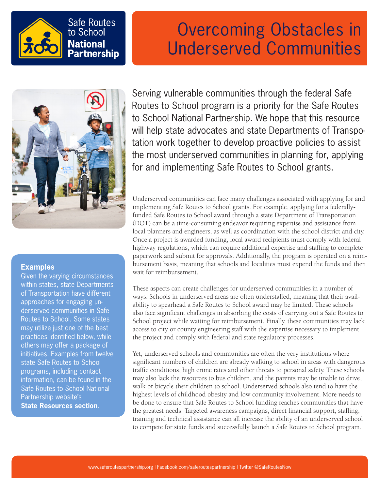

## Overcoming Obstacles in Underserved Communities



### **Examples**

Given the varying circumstances within states, state Departments of Transportation have different approaches for engaging underserved communities in Safe Routes to School. Some states may utilize just one of the best practices identified below, while others may offer a package of initiatives. Examples from twelve state Safe Routes to School programs, including contact information, can be found in the Safe Routes to School National Partnership website's **[State Resources section](http://www.saferoutespartnership.org/state/state-resources/addressing-the-needs-of-low-income-communities)**.

Serving vulnerable communities through the federal Safe Routes to School program is a priority for the Safe Routes to School National Partnership. We hope that this resource will help state advocates and state Departments of Transpotation work together to develop proactive policies to assist the most underserved communities in planning for, applying for and implementing Safe Routes to School grants.

Underserved communities can face many challenges associated with applying for and implementing Safe Routes to School grants. For example, applying for a federallyfunded Safe Routes to School award through a state Department of Transportation (DOT) can be a time-consuming endeavor requiring expertise and assistance from local planners and engineers, as well as coordination with the school district and city. Once a project is awarded funding, local award recipients must comply with federal highway regulations, which can require additional expertise and staffing to complete paperwork and submit for approvals. Additionally, the program is operated on a reimbursement basis, meaning that schools and localities must expend the funds and then wait for reimbursement.

These aspects can create challenges for underserved communities in a number of ways. Schools in underserved areas are often understaffed, meaning that their availability to spearhead a Safe Routes to School award may be limited. These schools also face significant challenges in absorbing the costs of carrying out a Safe Routes to School project while waiting for reimbursement. Finally, these communities may lack access to city or county engineering staff with the expertise necessary to implement the project and comply with federal and state regulatory processes.

Yet, underserved schools and communities are often the very institutions where significant numbers of children are already walking to school in areas with dangerous traffic conditions, high crime rates and other threats to personal safety. These schools may also lack the resources to bus children, and the parents may be unable to drive, walk or bicycle their children to school. Underserved schools also tend to have the highest levels of childhood obesity and low community involvement. More needs to be done to ensure that Safe Routes to School funding reaches communities that have the greatest needs. Targeted awareness campaigns, direct financial support, staffing, training and technical assistance can all increase the ability of an underserved school to compete for state funds and successfully launch a Safe Routes to School program.